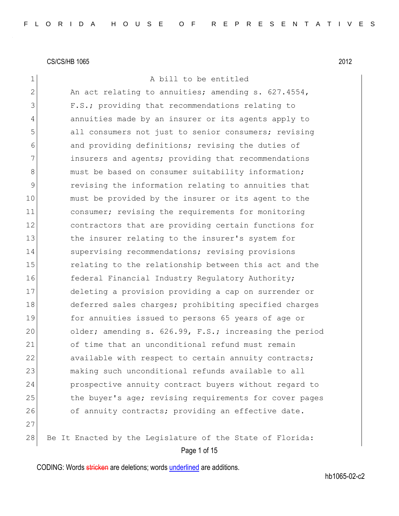| $\mathbf 1$   | A bill to be entitled                                     |
|---------------|-----------------------------------------------------------|
| $\mathbf{2}$  | An act relating to annuities; amending s. 627.4554,       |
| 3             | F.S.; providing that recommendations relating to          |
| 4             | annuities made by an insurer or its agents apply to       |
| 5             | all consumers not just to senior consumers; revising      |
| 6             | and providing definitions; revising the duties of         |
| 7             | insurers and agents; providing that recommendations       |
| 8             | must be based on consumer suitability information;        |
| $\mathcal{G}$ | revising the information relating to annuities that       |
| 10            | must be provided by the insurer or its agent to the       |
| 11            | consumer; revising the requirements for monitoring        |
| 12            | contractors that are providing certain functions for      |
| 13            | the insurer relating to the insurer's system for          |
| 14            | supervising recommendations; revising provisions          |
| 15            | relating to the relationship between this act and the     |
| 16            | federal Financial Industry Regulatory Authority;          |
| 17            | deleting a provision providing a cap on surrender or      |
| 18            | deferred sales charges; prohibiting specified charges     |
| 19            | for annuities issued to persons 65 years of age or        |
| 20            | older; amending s. 626.99, F.S.; increasing the period    |
| 21            | of time that an unconditional refund must remain          |
| 22            | available with respect to certain annuity contracts;      |
| 23            | making such unconditional refunds available to all        |
| 24            | prospective annuity contract buyers without regard to     |
| 25            | the buyer's age; revising requirements for cover pages    |
| 26            | of annuity contracts; providing an effective date.        |
| 27            |                                                           |
| 28            | Be It Enacted by the Legislature of the State of Florida: |
|               | Page 1 of 15                                              |

CODING: Words stricken are deletions; words underlined are additions.

hb1065-02-c2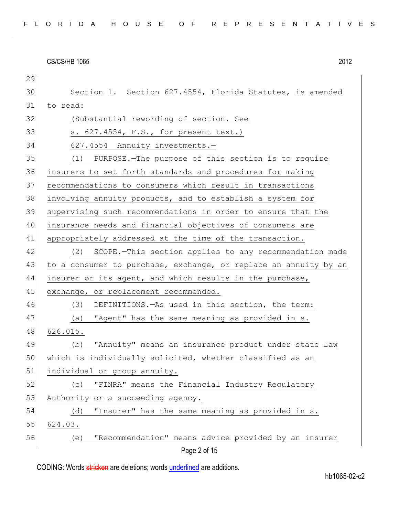| 29           |                                                                  |
|--------------|------------------------------------------------------------------|
| 30           | Section 1. Section 627.4554, Florida Statutes, is amended        |
| 31           | to read:                                                         |
| 32           | (Substantial rewording of section. See                           |
| 33           | s. 627.4554, F.S., for present text.)                            |
| 34           | 627.4554 Annuity investments.-                                   |
| 35           | (1) PURPOSE. The purpose of this section is to require           |
| 36           | insurers to set forth standards and procedures for making        |
| 37           | recommendations to consumers which result in transactions        |
| 38           | involving annuity products, and to establish a system for        |
| 39           | supervising such recommendations in order to ensure that the     |
| 40           | insurance needs and financial objectives of consumers are        |
| 41           | appropriately addressed at the time of the transaction.          |
| 42           | (2) SCOPE.-This section applies to any recommendation made       |
| 43           | to a consumer to purchase, exchange, or replace an annuity by an |
| 44           | insurer or its agent, and which results in the purchase,         |
| 45           | exchange, or replacement recommended.                            |
| 46           | (3)<br>DEFINITIONS. - As used in this section, the term:         |
| 47           | "Agent" has the same meaning as provided in s.<br>(a)            |
| 48           | 626.015.                                                         |
| 49           | "Annuity" means an insurance product under state law<br>(b)      |
| 50           | which is individually solicited, whether classified as an        |
| 51           | individual or group annuity.                                     |
| 52           | "FINRA" means the Financial Industry Regulatory<br>(C)           |
| 53           | Authority or a succeeding agency.                                |
| 54           | "Insurer" has the same meaning as provided in s.<br>(d)          |
| 55           | 624.03.                                                          |
| 56           | "Recommendation" means advice provided by an insurer<br>(e)      |
| Page 2 of 15 |                                                                  |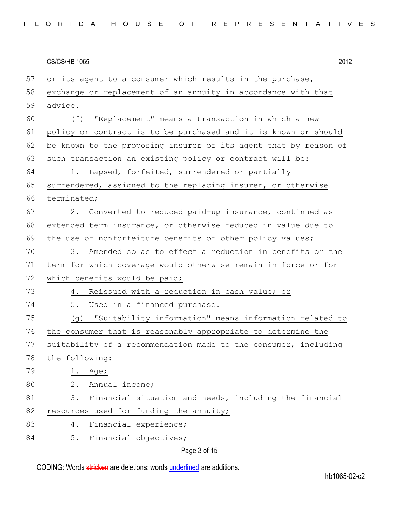| 57 | or its agent to a consumer which results in the purchase,        |
|----|------------------------------------------------------------------|
| 58 | exchange or replacement of an annuity in accordance with that    |
| 59 | advice.                                                          |
| 60 | "Replacement" means a transaction in which a new<br>(f)          |
| 61 | policy or contract is to be purchased and it is known or should  |
| 62 | be known to the proposing insurer or its agent that by reason of |
| 63 | such transaction an existing policy or contract will be:         |
| 64 | 1. Lapsed, forfeited, surrendered or partially                   |
| 65 | surrendered, assigned to the replacing insurer, or otherwise     |
| 66 | terminated;                                                      |
| 67 | 2. Converted to reduced paid-up insurance, continued as          |
| 68 | extended term insurance, or otherwise reduced in value due to    |
| 69 | the use of nonforfeiture benefits or other policy values;        |
| 70 | Amended so as to effect a reduction in benefits or the<br>3.     |
| 71 | term for which coverage would otherwise remain in force or for   |
| 72 | which benefits would be paid;                                    |
| 73 | 4. Reissued with a reduction in cash value; or                   |
| 74 | 5. Used in a financed purchase.                                  |
| 75 | "Suitability information" means information related to<br>(g)    |
| 76 | the consumer that is reasonably appropriate to determine the     |
| 77 | suitability of a recommendation made to the consumer, including  |
| 78 | the following:                                                   |
| 79 | Age;<br>ı.                                                       |
| 80 | $2$ .<br>Annual income;                                          |
| 81 | Financial situation and needs, including the financial<br>3.     |
| 82 | resources used for funding the annuity;                          |
| 83 | Financial experience;<br>4.                                      |
| 84 | Financial objectives;<br>5.                                      |

Page 3 of 15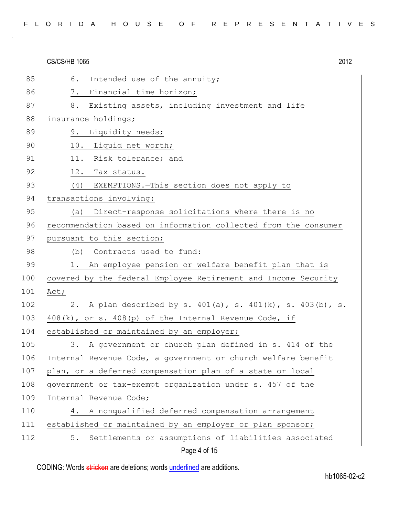| 85  | Intended use of the annuity;<br>6.                              |
|-----|-----------------------------------------------------------------|
| 86  | Financial time horizon;<br>7.                                   |
| 87  | Existing assets, including investment and life<br>8.            |
| 88  | insurance holdings;                                             |
| 89  | Liquidity needs;<br>9.                                          |
| 90  | 10. Liquid net worth;                                           |
| 91  | 11. Risk tolerance; and                                         |
| 92  | 12. Tax status.                                                 |
| 93  | (4) EXEMPTIONS. - This section does not apply to                |
| 94  | transactions involving:                                         |
| 95  | Direct-response solicitations where there is no<br>(a)          |
| 96  | recommendation based on information collected from the consumer |
| 97  | pursuant to this section;                                       |
| 98  | (b) Contracts used to fund:                                     |
| 99  | 1. An employee pension or welfare benefit plan that is          |
| 100 | covered by the federal Employee Retirement and Income Security  |
| 101 | Act;                                                            |
| 102 | 2. A plan described by s. 401(a), s. 401(k), s. 403(b), s.      |
| 103 | 408(k), or s. 408(p) of the Internal Revenue Code, if           |
| 104 | established or maintained by an employer;                       |
| 105 | A government or church plan defined in s. 414 of the<br>3.      |
| 106 | Internal Revenue Code, a government or church welfare benefit   |
| 107 | plan, or a deferred compensation plan of a state or local       |
| 108 | government or tax-exempt organization under s. 457 of the       |
| 109 | Internal Revenue Code;                                          |
| 110 | A nonqualified deferred compensation arrangement<br>4.          |
| 111 | established or maintained by an employer or plan sponsor;       |
| 112 | Settlements or assumptions of liabilities associated<br>5.      |
|     | Page 4 of 15                                                    |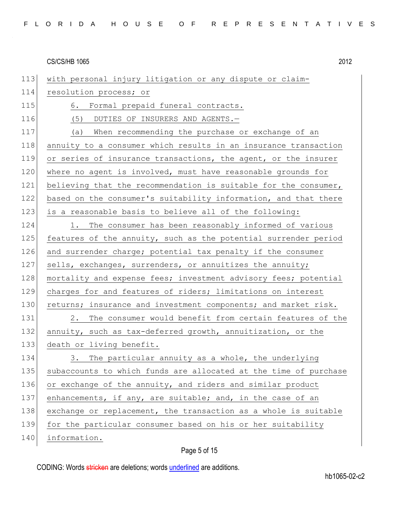114 resolution process; or 115 6. Formal prepaid funeral contracts. 116 (5) DUTIES OF INSURERS AND AGENTS. 117 (a) When recommending the purchase or exchange of an 118 annuity to a consumer which results in an insurance transaction 119 or series of insurance transactions, the agent, or the insurer 120 where no agent is involved, must have reasonable grounds for 121 believing that the recommendation is suitable for the consumer, 122 based on the consumer's suitability information, and that there 123 is a reasonable basis to believe all of the following: 124 1. The consumer has been reasonably informed of various 125 features of the annuity, such as the potential surrender period 126 and surrender charge; potential tax penalty if the consumer 127 sells, exchanges, surrenders, or annuitizes the annuity; 128 mortality and expense fees; investment advisory fees; potential 129 charges for and features of riders; limitations on interest 130 returns; insurance and investment components; and market risk.

113 with personal injury litigation or any dispute or claim-

131 2. The consumer would benefit from certain features of the 132 annuity, such as tax-deferred growth, annuitization, or the 133 death or living benefit.

134 3. The particular annuity as a whole, the underlying 135 subaccounts to which funds are allocated at the time of purchase 136 or exchange of the annuity, and riders and similar product 137 enhancements, if any, are suitable; and, in the case of an 138 exchange or replacement, the transaction as a whole is suitable 139 for the particular consumer based on his or her suitability

140 information.

### Page 5 of 15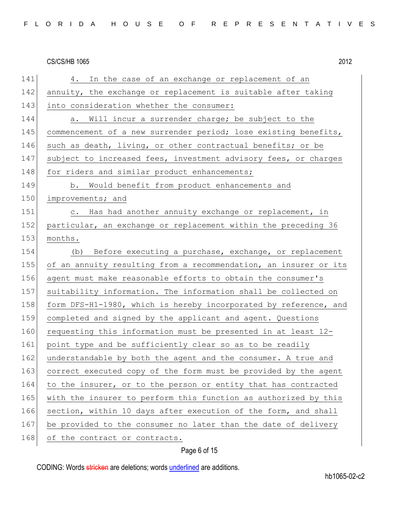| 141 | 4. In the case of an exchange or replacement of an               |
|-----|------------------------------------------------------------------|
| 142 | annuity, the exchange or replacement is suitable after taking    |
| 143 | into consideration whether the consumer:                         |
| 144 | a. Will incur a surrender charge; be subject to the              |
| 145 | commencement of a new surrender period; lose existing benefits,  |
| 146 | such as death, living, or other contractual benefits; or be      |
| 147 | subject to increased fees, investment advisory fees, or charges  |
| 148 | for riders and similar product enhancements;                     |
| 149 | b. Would benefit from product enhancements and                   |
| 150 | improvements; and                                                |
| 151 | c. Has had another annuity exchange or replacement, in           |
| 152 | particular, an exchange or replacement within the preceding 36   |
| 153 | months.                                                          |
| 154 | (b) Before executing a purchase, exchange, or replacement        |
| 155 | of an annuity resulting from a recommendation, an insurer or its |
| 156 | agent must make reasonable efforts to obtain the consumer's      |
| 157 | suitability information. The information shall be collected on   |
| 158 | form DFS-H1-1980, which is hereby incorporated by reference, and |
| 159 | completed and signed by the applicant and agent. Questions       |
| 160 | requesting this information must be presented in at least 12-    |
| 161 | point type and be sufficiently clear so as to be readily         |
| 162 | understandable by both the agent and the consumer. A true and    |
| 163 | correct executed copy of the form must be provided by the agent  |
| 164 | to the insurer, or to the person or entity that has contracted   |
| 165 | with the insurer to perform this function as authorized by this  |
| 166 | section, within 10 days after execution of the form, and shall   |
| 167 | be provided to the consumer no later than the date of delivery   |
| 168 | of the contract or contracts.                                    |

Page 6 of 15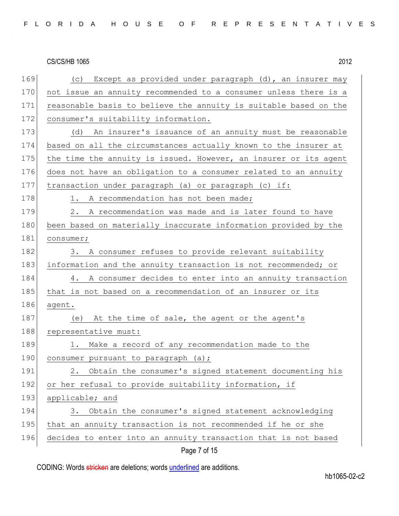| 169 | Except as provided under paragraph (d), an insurer may<br>(C)    |
|-----|------------------------------------------------------------------|
| 170 | not issue an annuity recommended to a consumer unless there is a |
| 171 | reasonable basis to believe the annuity is suitable based on the |
| 172 | consumer's suitability information.                              |
| 173 | An insurer's issuance of an annuity must be reasonable<br>(d)    |
| 174 | based on all the circumstances actually known to the insurer at  |
| 175 | the time the annuity is issued. However, an insurer or its agent |
| 176 | does not have an obligation to a consumer related to an annuity  |
| 177 | transaction under paragraph (a) or paragraph (c) if:             |
| 178 | A recommendation has not been made;<br>1.                        |
| 179 | 2.<br>A recommendation was made and is later found to have       |
| 180 | been based on materially inaccurate information provided by the  |
| 181 | consumer;                                                        |
| 182 | 3. A consumer refuses to provide relevant suitability            |
| 183 | information and the annuity transaction is not recommended; or   |
| 184 | 4. A consumer decides to enter into an annuity transaction       |
| 185 | that is not based on a recommendation of an insurer or its       |
| 186 | agent.                                                           |
| 187 | At the time of sale, the agent or the agent's<br>(e)             |
| 188 | representative must:                                             |
| 189 | 1. Make a record of any recommendation made to the               |
| 190 | consumer pursuant to paragraph (a);                              |
| 191 | Obtain the consumer's signed statement documenting his<br>2.     |
| 192 | or her refusal to provide suitability information, if            |
| 193 | applicable; and                                                  |
| 194 | Obtain the consumer's signed statement acknowledging<br>3.       |
| 195 | that an annuity transaction is not recommended if he or she      |
| 196 | decides to enter into an annuity transaction that is not based   |
|     | Page 7 of 15                                                     |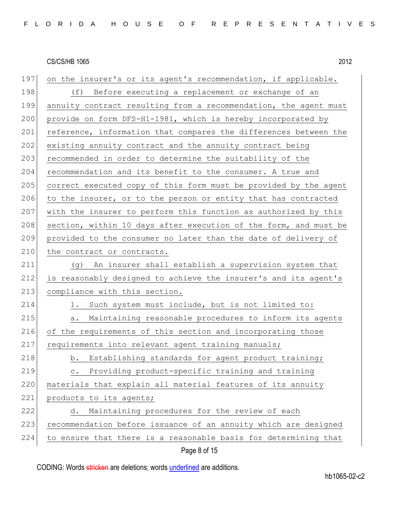| 197 | on the insurer's or its agent's recommendation, if applicable.     |
|-----|--------------------------------------------------------------------|
| 198 | (f)<br>Before executing a replacement or exchange of an            |
| 199 | annuity contract resulting from a recommendation, the agent must   |
| 200 | provide on form DFS-H1-1981, which is hereby incorporated by       |
| 201 | reference, information that compares the differences between the   |
| 202 | existing annuity contract and the annuity contract being           |
| 203 | recommended in order to determine the suitability of the           |
| 204 | recommendation and its benefit to the consumer. A true and         |
| 205 | correct executed copy of this form must be provided by the agent   |
| 206 | to the insurer, or to the person or entity that has contracted     |
| 207 | with the insurer to perform this function as authorized by this    |
| 208 | section, within 10 days after execution of the form, and must be   |
| 209 | provided to the consumer no later than the date of delivery of     |
| 210 | the contract or contracts.                                         |
| 211 | An insurer shall establish a supervision system that<br>(g)        |
| 212 | is reasonably designed to achieve the insurer's and its agent's    |
| 213 | compliance with this section.                                      |
| 214 | Such system must include, but is not limited to:<br>1.             |
| 215 | Maintaining reasonable procedures to inform its agents<br>а.       |
| 216 | of the requirements of this section and incorporating those        |
| 217 | requirements into relevant agent training manuals;                 |
| 218 | b. Establishing standards for agent product training;              |
| 219 | Providing product-specific training and training<br>$\mathtt{C}$ . |
| 220 | materials that explain all material features of its annuity        |
| 221 | products to its agents;                                            |
| 222 | Maintaining procedures for the review of each<br>d.                |
| 223 | recommendation before issuance of an annuity which are designed    |
| 224 | to ensure that there is a reasonable basis for determining that    |
|     | Page 8 of 15                                                       |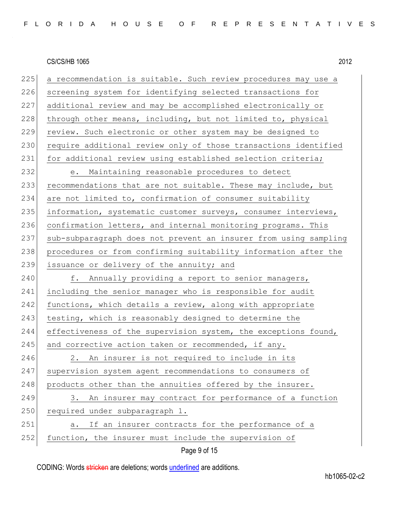225 a recommendation is suitable. Such review procedures may use a 226 screening system for identifying selected transactions for 227 additional review and may be accomplished electronically or 228 through other means, including, but not limited to, physical 229 review. Such electronic or other system may be designed to 230 require additional review only of those transactions identified 231 for additional review using established selection criteria; 232 e. Maintaining reasonable procedures to detect 233 recommendations that are not suitable. These may include, but 234 are not limited to, confirmation of consumer suitability 235 information, systematic customer surveys, consumer interviews, 236 confirmation letters, and internal monitoring programs. This 237 sub-subparagraph does not prevent an insurer from using sampling 238 procedures or from confirming suitability information after the 239 issuance or delivery of the annuity; and 240 f. Annually providing a report to senior managers, 241 including the senior manager who is responsible for audit 242 functions, which details a review, along with appropriate 243 testing, which is reasonably designed to determine the 244 effectiveness of the supervision system, the exceptions found,  $245$  and corrective action taken or recommended, if any. 246 2. An insurer is not required to include in its 247 supervision system agent recommendations to consumers of 248 products other than the annuities offered by the insurer. 249 3. An insurer may contract for performance of a function 250 required under subparagraph 1. 251 a. If an insurer contracts for the performance of a 252 function, the insurer must include the supervision of

Page 9 of 15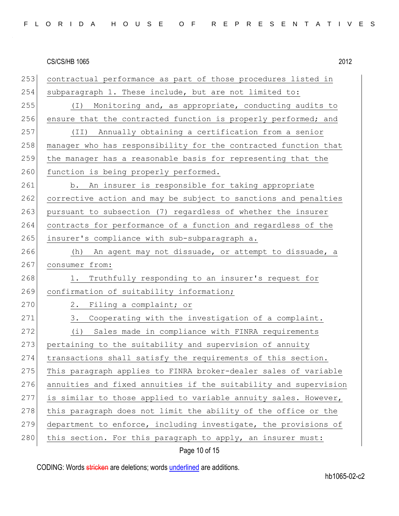253 contractual performance as part of those procedures listed in 254 subparagraph 1. These include, but are not limited to: 255 (I) Monitoring and, as appropriate, conducting audits to 256 ensure that the contracted function is properly performed; and 257 (II) Annually obtaining a certification from a senior 258 manager who has responsibility for the contracted function that 259 the manager has a reasonable basis for representing that the 260 function is being properly performed. 261 b. An insurer is responsible for taking appropriate 262 corrective action and may be subject to sanctions and penalties 263 pursuant to subsection (7) regardless of whether the insurer 264 contracts for performance of a function and regardless of the 265 insurer's compliance with sub-subparagraph a. 266 (h) An agent may not dissuade, or attempt to dissuade, a 267 consumer from: 268 1. Truthfully responding to an insurer's request for 269 confirmation of suitability information; 270 2. Filing a complaint; or 271 3. Cooperating with the investigation of a complaint. 272 (i) Sales made in compliance with FINRA requirements 273 pertaining to the suitability and supervision of annuity 274 transactions shall satisfy the requirements of this section. 275 This paragraph applies to FINRA broker-dealer sales of variable 276 annuities and fixed annuities if the suitability and supervision 277 is similar to those applied to variable annuity sales. However, 278 this paragraph does not limit the ability of the office or the 279 department to enforce, including investigate, the provisions of 280 this section. For this paragraph to apply, an insurer must:

Page 10 of 15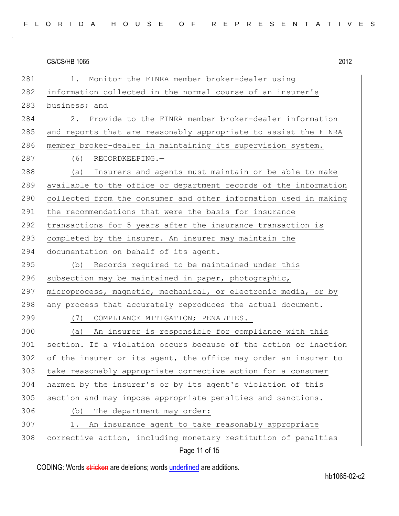281 1. Monitor the FINRA member broker-dealer using 282 information collected in the normal course of an insurer's 283 business; and 284 2. Provide to the FINRA member broker-dealer information 285 and reports that are reasonably appropriate to assist the FINRA 286 member broker-dealer in maintaining its supervision system. 287 (6) RECORDKEEPING. 288 (a) Insurers and agents must maintain or be able to make 289 available to the office or department records of the information 290 collected from the consumer and other information used in making 291 the recommendations that were the basis for insurance 292 transactions for 5 years after the insurance transaction is 293 completed by the insurer. An insurer may maintain the 294 documentation on behalf of its agent. 295 (b) Records required to be maintained under this 296 subsection may be maintained in paper, photographic, 297 microprocess, magnetic, mechanical, or electronic media, or by 298 any process that accurately reproduces the actual document. 299 (7) COMPLIANCE MITIGATION; PENALTIES.-300 (a) An insurer is responsible for compliance with this 301 section. If a violation occurs because of the action or inaction 302 of the insurer or its agent, the office may order an insurer to 303 take reasonably appropriate corrective action for a consumer 304 harmed by the insurer's or by its agent's violation of this 305 section and may impose appropriate penalties and sanctions. 306 (b) The department may order: 307 1. An insurance agent to take reasonably appropriate 308 corrective action, including monetary restitution of penalties

Page 11 of 15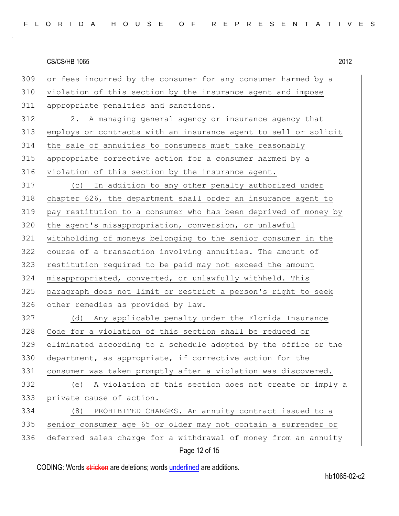| 309 |                                                                 |
|-----|-----------------------------------------------------------------|
|     | or fees incurred by the consumer for any consumer harmed by a   |
| 310 | violation of this section by the insurance agent and impose     |
| 311 | appropriate penalties and sanctions.                            |
| 312 | A managing general agency or insurance agency that<br>2.        |
| 313 | employs or contracts with an insurance agent to sell or solicit |
| 314 | the sale of annuities to consumers must take reasonably         |
| 315 | appropriate corrective action for a consumer harmed by a        |
| 316 | violation of this section by the insurance agent.               |
| 317 | In addition to any other penalty authorized under<br>(C)        |
| 318 | chapter 626, the department shall order an insurance agent to   |
| 319 | pay restitution to a consumer who has been deprived of money by |
| 320 | the agent's misappropriation, conversion, or unlawful           |
| 321 | withholding of moneys belonging to the senior consumer in the   |
| 322 | course of a transaction involving annuities. The amount of      |
| 323 | restitution required to be paid may not exceed the amount       |
| 324 | misappropriated, converted, or unlawfully withheld. This        |
| 325 | paragraph does not limit or restrict a person's right to seek   |
| 326 | other remedies as provided by law.                              |
| 327 | Any applicable penalty under the Florida Insurance<br>(d)       |
| 328 | Code for a violation of this section shall be reduced or        |
| 329 | eliminated according to a schedule adopted by the office or the |
| 330 | department, as appropriate, if corrective action for the        |
| 331 | consumer was taken promptly after a violation was discovered.   |
| 332 | A violation of this section does not create or imply a<br>(e)   |
| 333 | private cause of action.                                        |
| 334 | (8)<br>PROHIBITED CHARGES. - An annuity contract issued to a    |
| 335 | senior consumer age 65 or older may not contain a surrender or  |
| 336 | deferred sales charge for a withdrawal of money from an annuity |
|     | Page 12 of 15                                                   |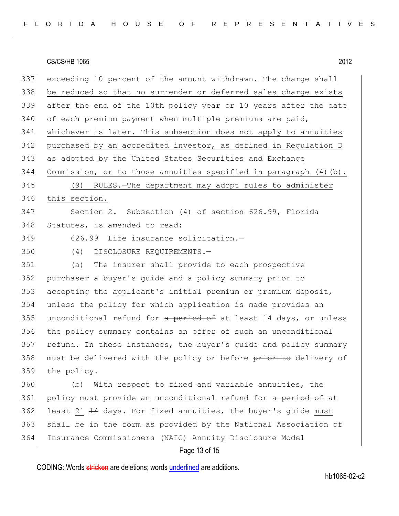| FLORIDA HOUSE OF REPRESENTATIVES |  |
|----------------------------------|--|
|----------------------------------|--|

| 337 | exceeding 10 percent of the amount withdrawn. The charge shall      |
|-----|---------------------------------------------------------------------|
| 338 | be reduced so that no surrender or deferred sales charge exists     |
| 339 | after the end of the 10th policy year or 10 years after the date    |
| 340 | of each premium payment when multiple premiums are paid,            |
| 341 | whichever is later. This subsection does not apply to annuities     |
| 342 | purchased by an accredited investor, as defined in Regulation D     |
| 343 | as adopted by the United States Securities and Exchange             |
| 344 | Commission, or to those annuities specified in paragraph $(4)$ (b). |
| 345 | (9) RULES.-The department may adopt rules to administer             |
| 346 | this section.                                                       |
| 347 | Section 2. Subsection (4) of section 626.99, Florida                |
| 348 | Statutes, is amended to read:                                       |
| 349 | 626.99 Life insurance solicitation.-                                |
| 350 | (4)<br>DISCLOSURE REQUIREMENTS.-                                    |
| 351 | The insurer shall provide to each prospective<br>(a)                |
| 352 | purchaser a buyer's quide and a policy summary prior to             |
| 353 | accepting the applicant's initial premium or premium deposit,       |
| 354 | unless the policy for which application is made provides an         |
| 355 | unconditional refund for a period of at least 14 days, or unless    |
| 356 | the policy summary contains an offer of such an unconditional       |
| 357 | refund. In these instances, the buyer's quide and policy summary    |
| 358 | must be delivered with the policy or before prior to delivery of    |
| 359 | the policy.                                                         |
| 360 | With respect to fixed and variable annuities, the<br>(b)            |
| 361 | policy must provide an unconditional refund for a period of at      |
| 362 | least 21 14 days. For fixed annuities, the buyer's guide must       |
| 363 | shall be in the form as provided by the National Association of     |
| 364 | Insurance Commissioners (NAIC) Annuity Disclosure Model             |

# Page 13 of 15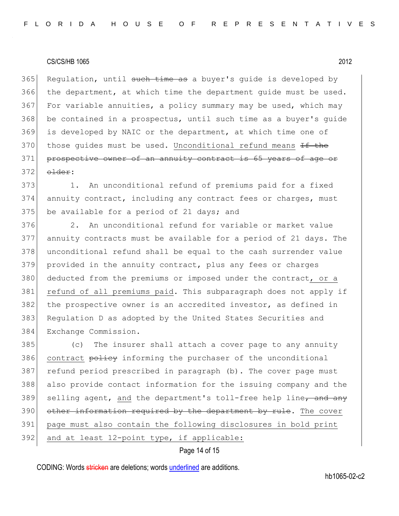365 Regulation, until such time as a buyer's quide is developed by the department, at which time the department guide must be used. For variable annuities, a policy summary may be used, which may be contained in a prospectus, until such time as a buyer's guide is developed by NAIC or the department, at which time one of 370 those quides must be used. Unconditional refund means  $H$  the prospective owner of an annuity contract is 65 years of age or 372 older:

373 1. An unconditional refund of premiums paid for a fixed 374 annuity contract, including any contract fees or charges, must 375 be available for a period of 21 days; and

376 2. An unconditional refund for variable or market value 377 annuity contracts must be available for a period of 21 days. The 378 unconditional refund shall be equal to the cash surrender value 379 provided in the annuity contract, plus any fees or charges 380 deducted from the premiums or imposed under the contract, or a 381 refund of all premiums paid. This subparagraph does not apply if 382 the prospective owner is an accredited investor, as defined in 383 Regulation D as adopted by the United States Securities and 384 Exchange Commission.

385 (c) The insurer shall attach a cover page to any annuity 386 contract policy informing the purchaser of the unconditional 387 refund period prescribed in paragraph (b). The cover page must 388 also provide contact information for the issuing company and the 389 selling agent, and the department's toll-free help line, and any 390 other information required by the department by rule. The cover 391 page must also contain the following disclosures in bold print

 $392$  and at least 12-point type, if applicable:

# Page 14 of 15